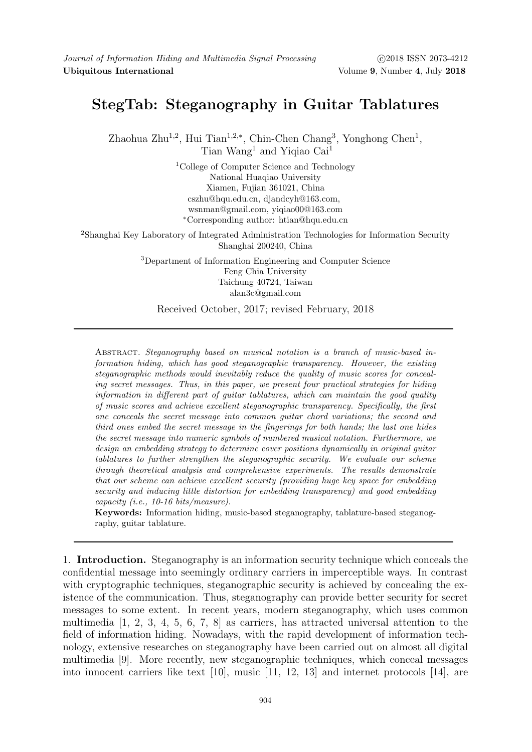## StegTab: Steganography in Guitar Tablatures

Zhaohua Zhu<sup>1,2</sup>, Hui Tian<sup>1,2,\*</sup>, Chin-Chen Chang<sup>3</sup>, Yonghong Chen<sup>1</sup>, Tian Wang<sup>1</sup> and Yiqiao Cai<sup>1</sup>

> <sup>1</sup>College of Computer Science and Technology National Huaqiao University Xiamen, Fujian 361021, China cszhu@hqu.edu.cn, djandcyh@163.com, wsnman@gmail.com, yiqiao00@163.com <sup>∗</sup>Corresponding author: htian@hqu.edu.cn

<sup>2</sup>Shanghai Key Laboratory of Integrated Administration Technologies for Information Security Shanghai 200240, China

> <sup>3</sup>Department of Information Engineering and Computer Science Feng Chia University Taichung 40724, Taiwan alan3c@gmail.com

Received October, 2017; revised February, 2018

Abstract. Steganography based on musical notation is a branch of music-based information hiding, which has good steganographic transparency. However, the existing steganographic methods would inevitably reduce the quality of music scores for concealing secret messages. Thus, in this paper, we present four practical strategies for hiding information in different part of guitar tablatures, which can maintain the good quality of music scores and achieve excellent steganographic transparency. Specifically, the first one conceals the secret message into common guitar chord variations; the second and third ones embed the secret message in the fingerings for both hands; the last one hides the secret message into numeric symbols of numbered musical notation. Furthermore, we design an embedding strategy to determine cover positions dynamically in original guitar tablatures to further strengthen the steganographic security. We evaluate our scheme through theoretical analysis and comprehensive experiments. The results demonstrate that our scheme can achieve excellent security (providing huge key space for embedding security and inducing little distortion for embedding transparency) and good embedding capacity (i.e., 10-16 bits/measure).

Keywords: Information hiding, music-based steganography, tablature-based steganography, guitar tablature.

1. Introduction. Steganography is an information security technique which conceals the confidential message into seemingly ordinary carriers in imperceptible ways. In contrast with cryptographic techniques, steganographic security is achieved by concealing the existence of the communication. Thus, steganography can provide better security for secret messages to some extent. In recent years, modern steganography, which uses common multimedia [1, 2, 3, 4, 5, 6, 7, 8] as carriers, has attracted universal attention to the field of information hiding. Nowadays, with the rapid development of information technology, extensive researches on steganography have been carried out on almost all digital multimedia [9]. More recently, new steganographic techniques, which conceal messages into innocent carriers like text [10], music [11, 12, 13] and internet protocols [14], are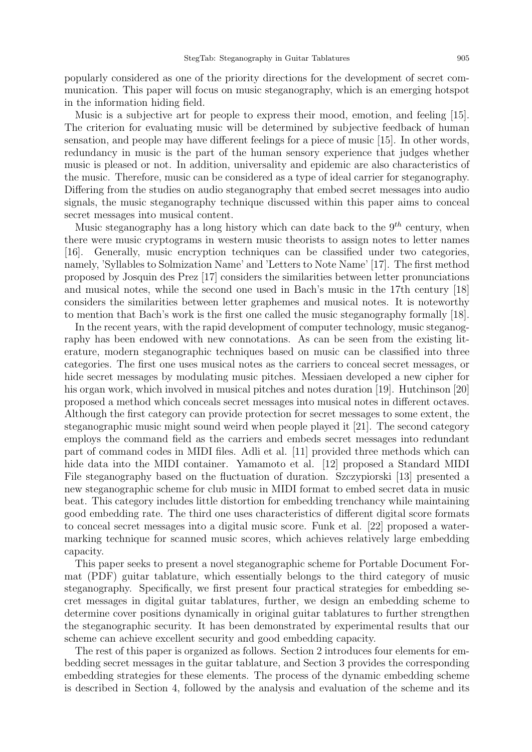popularly considered as one of the priority directions for the development of secret communication. This paper will focus on music steganography, which is an emerging hotspot in the information hiding field.

Music is a subjective art for people to express their mood, emotion, and feeling [15]. The criterion for evaluating music will be determined by subjective feedback of human sensation, and people may have different feelings for a piece of music [15]. In other words, redundancy in music is the part of the human sensory experience that judges whether music is pleased or not. In addition, universality and epidemic are also characteristics of the music. Therefore, music can be considered as a type of ideal carrier for steganography. Differing from the studies on audio steganography that embed secret messages into audio signals, the music steganography technique discussed within this paper aims to conceal secret messages into musical content.

Music steganography has a long history which can date back to the  $9<sup>th</sup>$  century, when there were music cryptograms in western music theorists to assign notes to letter names [16]. Generally, music encryption techniques can be classified under two categories, namely, 'Syllables to Solmization Name' and 'Letters to Note Name' [17]. The first method proposed by Josquin des Prez [17] considers the similarities between letter pronunciations and musical notes, while the second one used in Bach's music in the 17th century [18] considers the similarities between letter graphemes and musical notes. It is noteworthy to mention that Bach's work is the first one called the music steganography formally [18].

In the recent years, with the rapid development of computer technology, music steganography has been endowed with new connotations. As can be seen from the existing literature, modern steganographic techniques based on music can be classified into three categories. The first one uses musical notes as the carriers to conceal secret messages, or hide secret messages by modulating music pitches. Messiaen developed a new cipher for his organ work, which involved in musical pitches and notes duration [19]. Hutchinson [20] proposed a method which conceals secret messages into musical notes in different octaves. Although the first category can provide protection for secret messages to some extent, the steganographic music might sound weird when people played it [21]. The second category employs the command field as the carriers and embeds secret messages into redundant part of command codes in MIDI files. Adli et al. [11] provided three methods which can hide data into the MIDI container. Yamamoto et al. [12] proposed a Standard MIDI File steganography based on the fluctuation of duration. Szczypiorski [13] presented a new steganographic scheme for club music in MIDI format to embed secret data in music beat. This category includes little distortion for embedding trenchancy while maintaining good embedding rate. The third one uses characteristics of different digital score formats to conceal secret messages into a digital music score. Funk et al. [22] proposed a watermarking technique for scanned music scores, which achieves relatively large embedding capacity.

This paper seeks to present a novel steganographic scheme for Portable Document Format (PDF) guitar tablature, which essentially belongs to the third category of music steganography. Specifically, we first present four practical strategies for embedding secret messages in digital guitar tablatures, further, we design an embedding scheme to determine cover positions dynamically in original guitar tablatures to further strengthen the steganographic security. It has been demonstrated by experimental results that our scheme can achieve excellent security and good embedding capacity.

The rest of this paper is organized as follows. Section 2 introduces four elements for embedding secret messages in the guitar tablature, and Section 3 provides the corresponding embedding strategies for these elements. The process of the dynamic embedding scheme is described in Section 4, followed by the analysis and evaluation of the scheme and its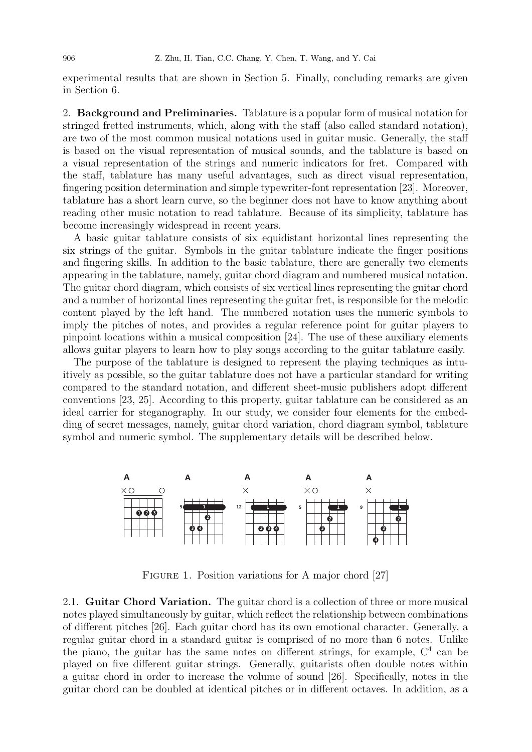experimental results that are shown in Section 5. Finally, concluding remarks are given in Section 6.

2. Background and Preliminaries. Tablature is a popular form of musical notation for stringed fretted instruments, which, along with the staff (also called standard notation), are two of the most common musical notations used in guitar music. Generally, the staff is based on the visual representation of musical sounds, and the tablature is based on a visual representation of the strings and numeric indicators for fret. Compared with the staff, tablature has many useful advantages, such as direct visual representation, fingering position determination and simple typewriter-font representation [23]. Moreover, tablature has a short learn curve, so the beginner does not have to know anything about reading other music notation to read tablature. Because of its simplicity, tablature has become increasingly widespread in recent years.

A basic guitar tablature consists of six equidistant horizontal lines representing the six strings of the guitar. Symbols in the guitar tablature indicate the finger positions and fingering skills. In addition to the basic tablature, there are generally two elements appearing in the tablature, namely, guitar chord diagram and numbered musical notation. The guitar chord diagram, which consists of six vertical lines representing the guitar chord and a number of horizontal lines representing the guitar fret, is responsible for the melodic content played by the left hand. The numbered notation uses the numeric symbols to imply the pitches of notes, and provides a regular reference point for guitar players to pinpoint locations within a musical composition [24]. The use of these auxiliary elements allows guitar players to learn how to play songs according to the guitar tablature easily.

The purpose of the tablature is designed to represent the playing techniques as intuitively as possible, so the guitar tablature does not have a particular standard for writing compared to the standard notation, and different sheet-music publishers adopt different conventions [23, 25]. According to this property, guitar tablature can be considered as an ideal carrier for steganography. In our study, we consider four elements for the embedding of secret messages, namely, guitar chord variation, chord diagram symbol, tablature symbol and numeric symbol. The supplementary details will be described below.



FIGURE 1. Position variations for A major chord [27]

2.1. Guitar Chord Variation. The guitar chord is a collection of three or more musical notes played simultaneously by guitar, which reflect the relationship between combinations of different pitches [26]. Each guitar chord has its own emotional character. Generally, a regular guitar chord in a standard guitar is comprised of no more than 6 notes. Unlike the piano, the guitar has the same notes on different strings, for example,  $C<sup>4</sup>$  can be played on five different guitar strings. Generally, guitarists often double notes within a guitar chord in order to increase the volume of sound [26]. Specifically, notes in the guitar chord can be doubled at identical pitches or in different octaves. In addition, as a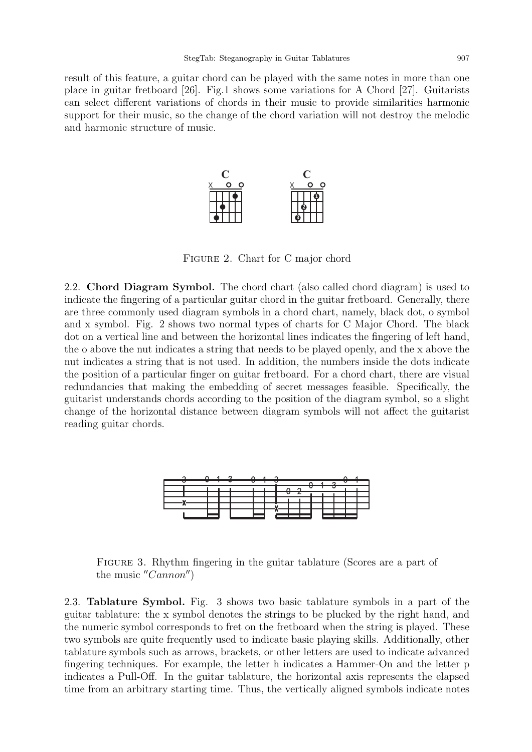result of this feature, a guitar chord can be played with the same notes in more than one place in guitar fretboard [26]. Fig.1 shows some variations for A Chord [27]. Guitarists can select different variations of chords in their music to provide similarities harmonic support for their music, so the change of the chord variation will not destroy the melodic and harmonic structure of music.



Figure 2. Chart for C major chord

2.2. Chord Diagram Symbol. The chord chart (also called chord diagram) is used to indicate the fingering of a particular guitar chord in the guitar fretboard. Generally, there are three commonly used diagram symbols in a chord chart, namely, black dot, o symbol and x symbol. Fig. 2 shows two normal types of charts for C Major Chord. The black dot on a vertical line and between the horizontal lines indicates the fingering of left hand, the o above the nut indicates a string that needs to be played openly, and the x above the nut indicates a string that is not used. In addition, the numbers inside the dots indicate the position of a particular finger on guitar fretboard. For a chord chart, there are visual redundancies that making the embedding of secret messages feasible. Specifically, the guitarist understands chords according to the position of the diagram symbol, so a slight change of the horizontal distance between diagram symbols will not affect the guitarist reading guitar chords.



Figure 3. Rhythm fingering in the guitar tablature (Scores are a part of the music  $^{\prime\prime}Cannon^{\prime\prime}$ 

2.3. Tablature Symbol. Fig. 3 shows two basic tablature symbols in a part of the guitar tablature: the x symbol denotes the strings to be plucked by the right hand, and the numeric symbol corresponds to fret on the fretboard when the string is played. These two symbols are quite frequently used to indicate basic playing skills. Additionally, other tablature symbols such as arrows, brackets, or other letters are used to indicate advanced fingering techniques. For example, the letter h indicates a Hammer-On and the letter p indicates a Pull-Off. In the guitar tablature, the horizontal axis represents the elapsed time from an arbitrary starting time. Thus, the vertically aligned symbols indicate notes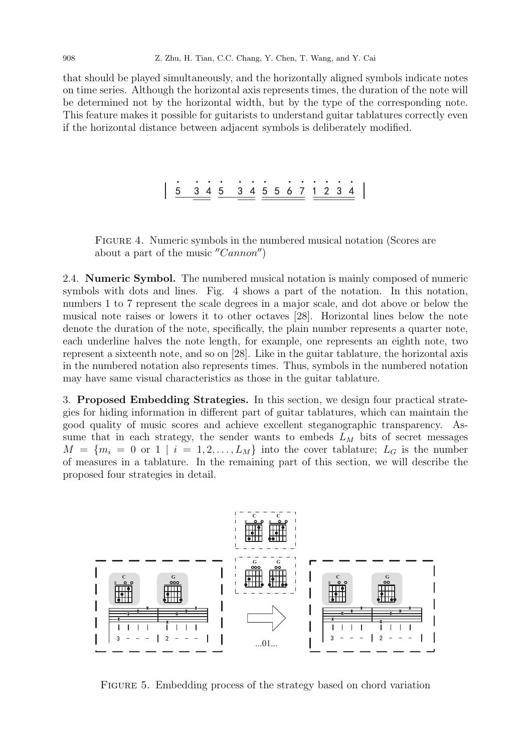that should be played simultaneously, and the horizontally aligned symbols indicate notes on time series. Although the horizontal axis represents times, the duration of the note will be determined not by the horizontal width, but by the type of the corresponding note. This feature makes it possible for guitarists to understand guitar tablatures correctly even if the horizontal distance between adjacent symbols is deliberately modified.

## 5 . 5 3 4 5 5 6 7 1 2 . . . . . . . . . . . .

Figure 4. Numeric symbols in the numbered musical notation (Scores are about a part of the music  $''Cannon'$ 

2.4. Numeric Symbol. The numbered musical notation is mainly composed of numeric symbols with dots and lines. Fig. 4 shows a part of the notation. In this notation, numbers 1 to 7 represent the scale degrees in a major scale, and dot above or below the musical note raises or lowers it to other octaves [28]. Horizontal lines below the note denote the duration of the note, specifically, the plain number represents a quarter note, each underline halves the note length, for example, one represents an eighth note, two represent a sixteenth note, and so on [28]. Like in the guitar tablature, the horizontal axis in the numbered notation also represents times. Thus, symbols in the numbered notation may have same visual characteristics as those in the guitar tablature.

3. Proposed Embedding Strategies. In this section, we design four practical strategies for hiding information in different part of guitar tablatures, which can maintain the good quality of music scores and achieve excellent steganographic transparency. Assume that in each strategy, the sender wants to embeds  $L<sub>M</sub>$  bits of secret messages  $M = \{m_i = 0 \text{ or } 1 \mid i = 1, 2, \ldots, L_M\}$  into the cover tablature;  $L_G$  is the number of measures in a tablature. In the remaining part of this section, we will describe the proposed four strategies in detail.



FIGURE 5. Embedding process of the strategy based on chord variation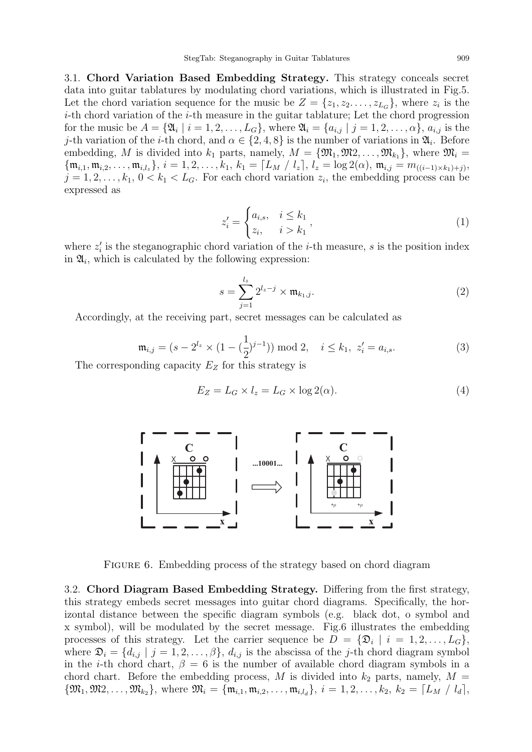3.1. Chord Variation Based Embedding Strategy. This strategy conceals secret data into guitar tablatures by modulating chord variations, which is illustrated in Fig.5. Let the chord variation sequence for the music be  $Z = \{z_1, z_2, \ldots, z_{L_G}\}\$ , where  $z_i$  is the  $i$ -th chord variation of the  $i$ -th measure in the guitar tablature; Let the chord progression for the music be  $A = \{ \mathfrak{A}_i \mid i = 1, 2, \ldots, L_G \}$ , where  $\mathfrak{A}_i = \{ a_{i,j} \mid j = 1, 2, \ldots, \alpha \}$ ,  $a_{i,j}$  is the j-th variation of the *i*-th chord, and  $\alpha \in \{2, 4, 8\}$  is the number of variations in  $\mathfrak{A}_i$ . Before embedding, M is divided into  $k_1$  parts, namely,  $M = \{\mathfrak{M}_1, \mathfrak{M}_2, \ldots, \mathfrak{M}_{k_1}\}\,$ , where  $\mathfrak{M}_i =$  ${\{\mathfrak{m}_{i,1}, \mathfrak{m}_{i,2}, \ldots, \mathfrak{m}_{i,l_z}\}, i = 1, 2, \ldots, k_1, k_1 = \lceil L_M / l_z \rceil, l_z = \log 2(\alpha), \mathfrak{m}_{i,j} = m_{((i-1)\times k_1)+j}},$  $j = 1, 2, \ldots, k_1, 0 < k_1 < L_G$ . For each chord variation  $z_i$ , the embedding process can be expressed as

$$
z'_{i} = \begin{cases} a_{i,s}, & i \leq k_1 \\ z_i, & i > k_1 \end{cases},
$$
 (1)

where  $z_i'$  is the steganographic chord variation of the *i*-th measure, *s* is the position index in  $\mathfrak{A}_i$ , which is calculated by the following expression:

$$
s = \sum_{j=1}^{l_z} 2^{l_z - j} \times \mathfrak{m}_{k_1, j}.
$$
 (2)

Accordingly, at the receiving part, secret messages can be calculated as

$$
\mathfrak{m}_{i,j} = (s - 2^{l_z} \times (1 - (\frac{1}{2})^{j-1})) \bmod 2, \quad i \le k_1, \ z'_i = a_{i,s}.
$$
 (3)

The corresponding capacity  $E_Z$  for this strategy is

$$
E_Z = L_G \times l_z = L_G \times \log 2(\alpha). \tag{4}
$$



FIGURE 6. Embedding process of the strategy based on chord diagram

3.2. Chord Diagram Based Embedding Strategy. Differing from the first strategy, this strategy embeds secret messages into guitar chord diagrams. Specifically, the horizontal distance between the specific diagram symbols (e.g. black dot, o symbol and x symbol), will be modulated by the secret message. Fig.6 illustrates the embedding processes of this strategy. Let the carrier sequence be  $D = {\mathfrak{D}_i \mid i = 1, 2, \ldots, L_G},$ where  $\mathfrak{D}_i = \{d_{i,j} \mid j = 1, 2, \ldots, \beta\}, d_{i,j}$  is the abscissa of the j-th chord diagram symbol in the *i*-th chord chart,  $\beta = 6$  is the number of available chord diagram symbols in a chord chart. Before the embedding process, M is divided into  $k_2$  parts, namely,  $M =$  ${\mathfrak{M}}_1, {\mathfrak{M}}_2, \ldots, {\mathfrak{M}}_{k_2}$ , where  ${\mathfrak{M}}_i = {\{\mathfrak{m}}_{i,1}, \mathfrak{m}_{i,2}, \ldots, \mathfrak{m}_{i,l_d}\}, i = 1, 2, \ldots, k_2, k_2 = \lceil L_M / l_d \rceil$ ,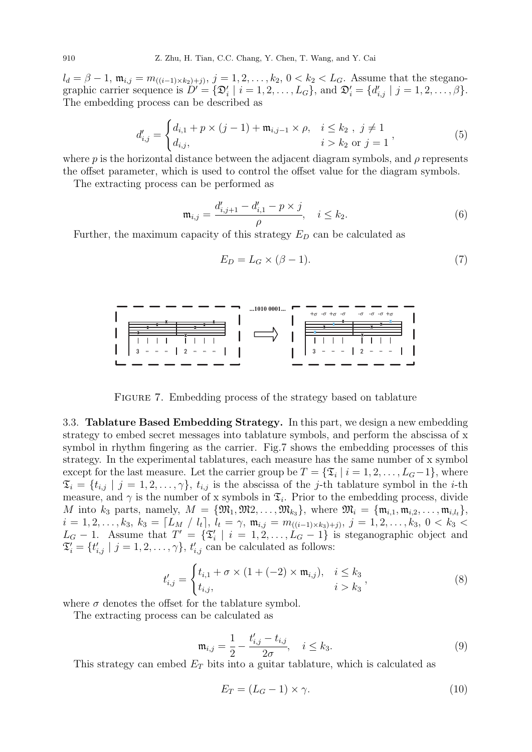910 Z. Zhu, H. Tian, C.C. Chang, Y. Chen, T. Wang, and Y. Cai

 $l_d = \beta - 1$ ,  $\mathfrak{m}_{i,j} = m_{((i-1)\times k_2)+j}, j = 1, 2, ..., k_2, 0 < k_2 < L_G$ . Assume that the steganographic carrier sequence is  $D' = {\mathfrak D}_i' | i = 1, 2, \ldots, L_G$ , and  ${\mathfrak D}_i' = {d'_{i,j} | j = 1, 2, \ldots, \beta}.$ The embedding process can be described as

$$
d'_{i,j} = \begin{cases} d_{i,1} + p \times (j-1) + \mathfrak{m}_{i,j-1} \times \rho, & i \leq k_2, j \neq 1 \\ d_{i,j}, & i > k_2 \text{ or } j = 1 \end{cases}
$$
(5)

where p is the horizontal distance between the adjacent diagram symbols, and  $\rho$  represents the offset parameter, which is used to control the offset value for the diagram symbols.

The extracting process can be performed as

$$
\mathfrak{m}_{i,j} = \frac{d'_{i,j+1} - d'_{i,1} - p \times j}{\rho}, \quad i \le k_2.
$$
 (6)

Further, the maximum capacity of this strategy  $E_D$  can be calculated as

$$
E_D = L_G \times (\beta - 1). \tag{7}
$$



FIGURE 7. Embedding process of the strategy based on tablature

3.3. Tablature Based Embedding Strategy. In this part, we design a new embedding strategy to embed secret messages into tablature symbols, and perform the abscissa of x symbol in rhythm fingering as the carrier. Fig.7 shows the embedding processes of this strategy. In the experimental tablatures, each measure has the same number of x symbol except for the last measure. Let the carrier group be  $T = \{\mathfrak{T}_i \mid i = 1, 2, \ldots, L_G - 1\}$ , where  $\mathfrak{T}_i = \{t_{i,j} \mid j = 1, 2, \ldots, \gamma\}, t_{i,j}$  is the abscissa of the j-th tablature symbol in the i-th measure, and  $\gamma$  is the number of x symbols in  $\mathfrak{T}_i$ . Prior to the embedding process, divide M into  $k_3$  parts, namely,  $M = \{\mathfrak{M}_1, \mathfrak{M}_2, \ldots, \mathfrak{M}_{k_3}\},\$  where  $\mathfrak{M}_i = \{\mathfrak{m}_{i,1}, \mathfrak{m}_{i,2}, \ldots, \mathfrak{m}_{i,l_t}\},\$  $i = 1, 2, \ldots, k_3, k_3 = \lceil L_M / l_t \rceil, l_t = \gamma, \mathfrak{m}_{i,j} = m_{((i-1)\times k_3)+j)}, j = 1, 2, \ldots, k_3, 0 < k_3 <$  $L_G - 1$ . Assume that  $T' = {\mathfrak{T}'_i \mid i = 1, 2, ..., L_G - 1}$  is steganographic object and  $\mathfrak{T}'_i = \{t'_{i,j} \mid j = 1, 2, \ldots, \gamma\}, t'_{i,j}$  can be calculated as follows:

$$
t'_{i,j} = \begin{cases} t_{i,1} + \sigma \times (1 + (-2) \times \mathfrak{m}_{i,j}), & i \leq k_3 \\ t_{i,j}, & i > k_3 \end{cases}
$$
 (8)

where  $\sigma$  denotes the offset for the tablature symbol.

The extracting process can be calculated as

$$
\mathfrak{m}_{i,j} = \frac{1}{2} - \frac{t'_{i,j} - t_{i,j}}{2\sigma}, \quad i \le k_3.
$$
 (9)

This strategy can embed  $E_T$  bits into a guitar tablature, which is calculated as

$$
E_T = (L_G - 1) \times \gamma. \tag{10}
$$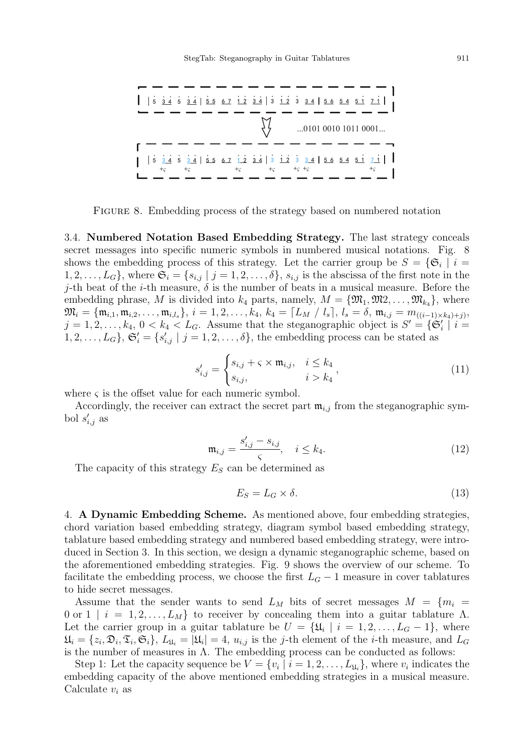

Figure 8. Embedding process of the strategy based on numbered notation

3.4. Numbered Notation Based Embedding Strategy. The last strategy conceals secret messages into specific numeric symbols in numbered musical notations. Fig. 8 shows the embedding process of this strategy. Let the carrier group be  $S = \{ \mathfrak{S}_i \mid i = 1 \}$  $1, 2, \ldots, L_G$ , where  $\mathfrak{S}_i = \{s_{i,j} \mid j = 1, 2, \ldots, \delta\}$ ,  $s_{i,j}$  is the abscissa of the first note in the j-th beat of the *i*-th measure,  $\delta$  is the number of beats in a musical measure. Before the embedding phrase, M is divided into  $k_4$  parts, namely,  $M = \{ \mathfrak{M}_1, \mathfrak{M}_2, \ldots, \mathfrak{M}_{k_4} \}$ , where  $\mathfrak{M}_i = \{ \mathfrak{m}_{i,1}, \mathfrak{m}_{i,2}, \ldots, \mathfrak{m}_{i,l_s} \}, \, i = 1,2,\ldots, k_4, \, k_4 = \lceil L_M \; / \; l_s \rceil, \, l_s = \delta, \, \mathfrak{m}_{i,j} = m_{((i-1) \times k_4) + j)},$  $j = 1, 2, \ldots, k_4, 0 < k_4 < L_G$ . Assume that the steganographic object is  $S' = \{ \mathfrak{S}'_i \mid i = 1, 2, \ldots, k_4, 0 \leq k_4 < L_G \}$ .  $1, 2, \ldots, L_G$ ,  $\mathfrak{S}'_i = \{s'_{i,j} \mid j = 1, 2, \ldots, \delta\}$ , the embedding process can be stated as

$$
s'_{i,j} = \begin{cases} s_{i,j} + \varsigma \times \mathfrak{m}_{i,j}, & i \leq k_4 \\ s_{i,j}, & i > k_4 \end{cases},
$$
(11)

where  $\varsigma$  is the offset value for each numeric symbol.

Accordingly, the receiver can extract the secret part  $\mathfrak{m}_{i,j}$  from the steganographic symbol  $s'_{i,j}$  as

$$
\mathfrak{m}_{i,j} = \frac{s'_{i,j} - s_{i,j}}{\varsigma}, \quad i \le k_4. \tag{12}
$$

The capacity of this strategy  $E<sub>S</sub>$  can be determined as

$$
E_S = L_G \times \delta. \tag{13}
$$

4. A Dynamic Embedding Scheme. As mentioned above, four embedding strategies, chord variation based embedding strategy, diagram symbol based embedding strategy, tablature based embedding strategy and numbered based embedding strategy, were introduced in Section 3. In this section, we design a dynamic steganographic scheme, based on the aforementioned embedding strategies. Fig. 9 shows the overview of our scheme. To facilitate the embedding process, we choose the first  $L_G - 1$  measure in cover tablatures to hide secret messages.

Assume that the sender wants to send  $L_M$  bits of secret messages  $M = \{m_i =$ 0 or 1 | i = 1, 2, ...,  $L_M$ } to receiver by concealing them into a guitar tablature Λ. Let the carrier group in a guitar tablature be  $U = {\mathfrak{U}_i \mid i = 1, 2, \ldots, L_G - 1}$ , where  $\mathfrak{U}_i = \{z_i, \mathfrak{D}_i, \mathfrak{T}_i, \mathfrak{S}_i\}, L_{\mathfrak{U}_i} = |\mathfrak{U}_i| = 4$ ,  $u_{i,j}$  is the j-th element of the *i*-th measure, and  $L_G$ is the number of measures in  $\Lambda$ . The embedding process can be conducted as follows:

Step 1: Let the capacity sequence be  $V = \{v_i \mid i = 1, 2, \ldots, L_{\mathfrak{U}_i}\}\$ , where  $v_i$  indicates the embedding capacity of the above mentioned embedding strategies in a musical measure. Calculate  $v_i$  as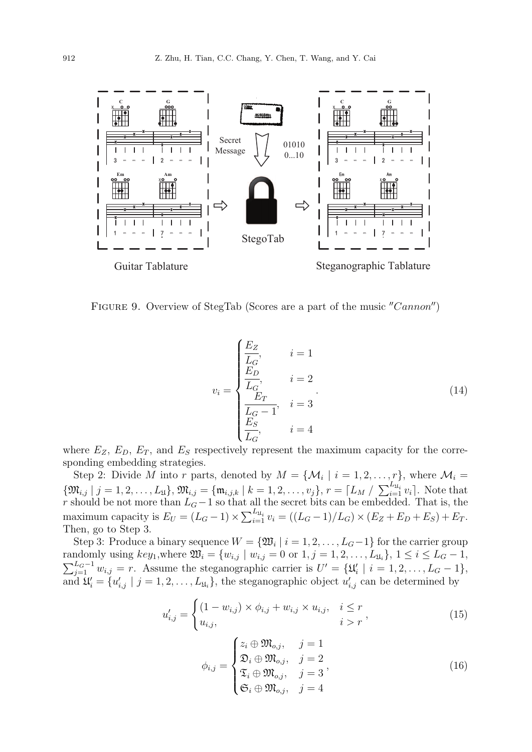

FIGURE 9. Overview of StegTab (Scores are a part of the music "Cannon")

$$
v_{i} = \begin{cases} \frac{E_{Z}}{L_{G}}, & i = 1\\ \frac{E_{D}}{L_{G}}, & i = 2\\ \frac{E_{T}}{L_{G} - 1}, & i = 3\\ \frac{E_{S}}{L_{G}}, & i = 4 \end{cases}
$$
(14)

where  $E_Z$ ,  $E_D$ ,  $E_T$ , and  $E_S$  respectively represent the maximum capacity for the corresponding embedding strategies.

Step 2: Divide M into r parts, denoted by  $M = \{M_i \mid i = 1, 2, ..., r\}$ , where  $M_i =$  $\{\mathfrak{M}_{i,j} \mid j = 1, 2, \ldots, L_{\mathfrak{U}}\}, \mathfrak{M}_{i,j} = \{\mathfrak{m}_{i,j,k} \mid k = 1, 2, \ldots, v_j\}, r = \lceil L_M / \sum_{i=1}^{L_{\mathfrak{U}_i}} v_i \rceil$ . Note that r should be not more than  $L_G - 1$  so that all the secret bits can be embedded. That is, the maximum capacity is  $E_U = (L_G - 1) \times \sum_{i=1}^{L_{\mathfrak{U}_i}} v_i = ((L_G - 1)/L_G) \times (E_Z + E_D + E_S) + E_T$ . Then, go to Step 3.

Step 3: Produce a binary sequence  $W = \{ \mathfrak{W}_i \mid i = 1, 2, \ldots, L_G - 1 \}$  for the carrier group randomly using  $key_1$ , where  $\mathfrak{W}_i = \{w_{i,j} \mid w_{i,j} = 0 \text{ or } 1, j = 1, 2, \ldots, L_{\mathfrak{U}_i}\}, 1 \leq i \leq L_G - 1$ ,  $\sum_{j=1}^{L_G-1} w_{i,j} = r$ . Assume the steganographic carrier is  $U' = {\mathfrak{U}'_i \mid i = 1, 2, \ldots, L_G-1},$ and  $\mathfrak{U}'_i = \{u'_{i,j} \mid j = 1, 2, \ldots, L_{\mathfrak{U}_i}\}\$ , the steganographic object  $u'_{i,j}$  can be determined by

$$
u'_{i,j} = \begin{cases} (1 - w_{i,j}) \times \phi_{i,j} + w_{i,j} \times u_{i,j}, & i \leq r \\ u_{i,j}, & i > r \end{cases}
$$
 (15)

$$
\phi_{i,j} = \begin{cases} z_i \oplus \mathfrak{M}_{o,j}, & j = 1 \\ \mathfrak{D}_i \oplus \mathfrak{M}_{o,j}, & j = 2 \\ \mathfrak{T}_i \oplus \mathfrak{M}_{o,j}, & j = 3 \\ \mathfrak{S}_i \oplus \mathfrak{M}_{o,j}, & j = 4 \end{cases}
$$
(16)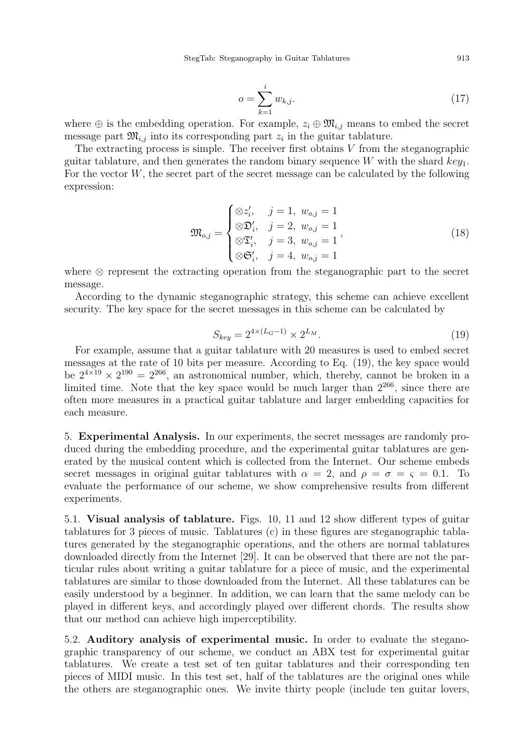StegTab: Steganography in Guitar Tablatures 913

$$
o = \sum_{k=1}^{i} w_{k,j}.
$$
 (17)

where  $\oplus$  is the embedding operation. For example,  $z_i \oplus \mathfrak{M}_{i,j}$  means to embed the secret message part  $\mathfrak{M}_{i,j}$  into its corresponding part  $z_i$  in the guitar tablature.

The extracting process is simple. The receiver first obtains  $V$  from the steganographic guitar tablature, and then generates the random binary sequence W with the shard  $key_1$ . For the vector  $W$ , the secret part of the secret message can be calculated by the following expression:

$$
\mathfrak{M}_{o,j} = \begin{cases} \otimes z'_i, & j = 1, w_{o,j} = 1 \\ \otimes \mathfrak{D}'_i, & j = 2, w_{o,j} = 1 \\ \otimes \mathfrak{T}'_i, & j = 3, w_{o,j} = 1 \\ \otimes \mathfrak{S}'_i, & j = 4, w_{o,j} = 1 \end{cases}
$$
(18)

where ⊗ represent the extracting operation from the steganographic part to the secret message.

According to the dynamic steganographic strategy, this scheme can achieve excellent security. The key space for the secret messages in this scheme can be calculated by

$$
S_{key} = 2^{4 \times (L_G - 1)} \times 2^{L_M}.
$$
\n
$$
(19)
$$

For example, assume that a guitar tablature with 20 measures is used to embed secret messages at the rate of 10 bits per measure. According to Eq. (19), the key space would be  $2^{4\times19} \times 2^{190} = 2^{266}$ , an astronomical number, which, thereby, cannot be broken in a limited time. Note that the key space would be much larger than  $2^{266}$ , since there are often more measures in a practical guitar tablature and larger embedding capacities for each measure.

5. Experimental Analysis. In our experiments, the secret messages are randomly produced during the embedding procedure, and the experimental guitar tablatures are generated by the musical content which is collected from the Internet. Our scheme embeds secret messages in original guitar tablatures with  $\alpha = 2$ , and  $\rho = \sigma = \varsigma = 0.1$ . To evaluate the performance of our scheme, we show comprehensive results from different experiments.

5.1. Visual analysis of tablature. Figs. 10, 11 and 12 show different types of guitar tablatures for 3 pieces of music. Tablatures (c) in these figures are steganographic tablatures generated by the steganographic operations, and the others are normal tablatures downloaded directly from the Internet [29]. It can be observed that there are not the particular rules about writing a guitar tablature for a piece of music, and the experimental tablatures are similar to those downloaded from the Internet. All these tablatures can be easily understood by a beginner. In addition, we can learn that the same melody can be played in different keys, and accordingly played over different chords. The results show that our method can achieve high imperceptibility.

5.2. Auditory analysis of experimental music. In order to evaluate the steganographic transparency of our scheme, we conduct an ABX test for experimental guitar tablatures. We create a test set of ten guitar tablatures and their corresponding ten pieces of MIDI music. In this test set, half of the tablatures are the original ones while the others are steganographic ones. We invite thirty people (include ten guitar lovers,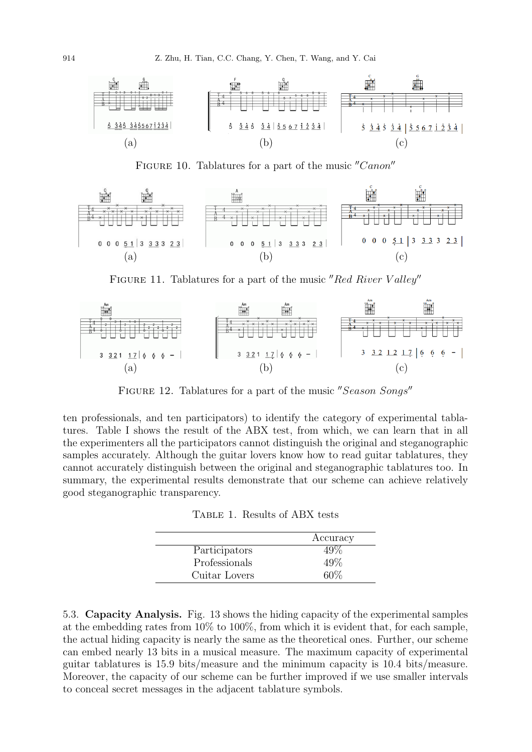

FIGURE 10. Tablatures for a part of the music "Canon"



FIGURE 11. Tablatures for a part of the music "Red River Valley"



FIGURE 12. Tablatures for a part of the music "Season Songs"

ten professionals, and ten participators) to identify the category of experimental tablatures. Table I shows the result of the ABX test, from which, we can learn that in all the experimenters all the participators cannot distinguish the original and steganographic samples accurately. Although the guitar lovers know how to read guitar tablatures, they cannot accurately distinguish between the original and steganographic tablatures too. In summary, the experimental results demonstrate that our scheme can achieve relatively good steganographic transparency.

Table 1. Results of ABX tests

|               | Accuracy |
|---------------|----------|
| Participators | 49%      |
| Professionals | 49\%     |
| Cuitar Lovers | 60%      |

5.3. Capacity Analysis. Fig. 13 shows the hiding capacity of the experimental samples at the embedding rates from 10% to 100%, from which it is evident that, for each sample, the actual hiding capacity is nearly the same as the theoretical ones. Further, our scheme can embed nearly 13 bits in a musical measure. The maximum capacity of experimental guitar tablatures is 15.9 bits/measure and the minimum capacity is 10.4 bits/measure. Moreover, the capacity of our scheme can be further improved if we use smaller intervals to conceal secret messages in the adjacent tablature symbols.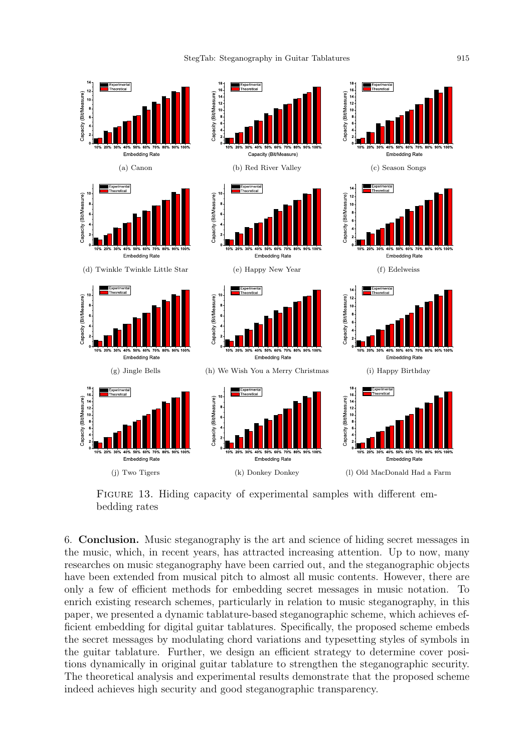

FIGURE 13. Hiding capacity of experimental samples with different embedding rates

6. Conclusion. Music steganography is the art and science of hiding secret messages in the music, which, in recent years, has attracted increasing attention. Up to now, many researches on music steganography have been carried out, and the steganographic objects have been extended from musical pitch to almost all music contents. However, there are only a few of efficient methods for embedding secret messages in music notation. To enrich existing research schemes, particularly in relation to music steganography, in this paper, we presented a dynamic tablature-based steganographic scheme, which achieves efficient embedding for digital guitar tablatures. Specifically, the proposed scheme embeds the secret messages by modulating chord variations and typesetting styles of symbols in the guitar tablature. Further, we design an efficient strategy to determine cover positions dynamically in original guitar tablature to strengthen the steganographic security. The theoretical analysis and experimental results demonstrate that the proposed scheme indeed achieves high security and good steganographic transparency.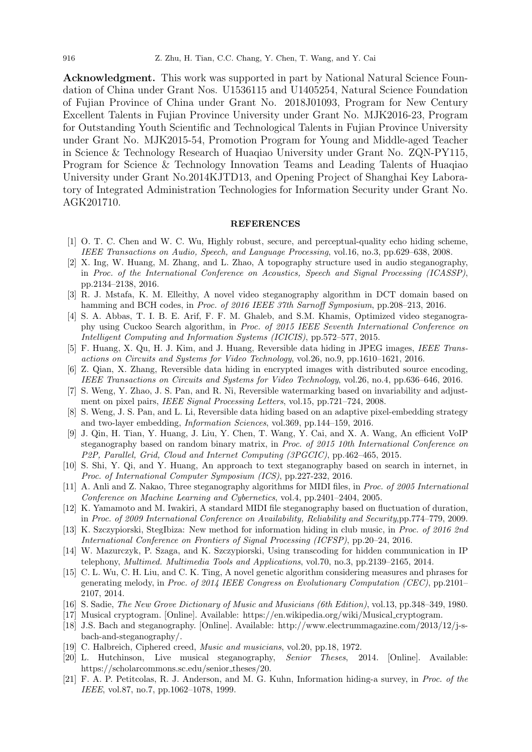Acknowledgment. This work was supported in part by National Natural Science Foundation of China under Grant Nos. U1536115 and U1405254, Natural Science Foundation of Fujian Province of China under Grant No. 2018J01093, Program for New Century Excellent Talents in Fujian Province University under Grant No. MJK2016-23, Program for Outstanding Youth Scientific and Technological Talents in Fujian Province University under Grant No. MJK2015-54, Promotion Program for Young and Middle-aged Teacher in Science & Technology Research of Huaqiao University under Grant No. ZQN-PY115, Program for Science & Technology Innovation Teams and Leading Talents of Huaqiao University under Grant No.2014KJTD13, and Opening Project of Shanghai Key Laboratory of Integrated Administration Technologies for Information Security under Grant No. AGK201710.

## **REFERENCES**

- [1] O. T. C. Chen and W. C. Wu, Highly robust, secure, and perceptual-quality echo hiding scheme, IEEE Transactions on Audio, Speech, and Language Processing, vol.16, no.3, pp.629–638, 2008.
- [2] X. Ing, W. Huang, M. Zhang, and L. Zhao, A topography structure used in audio steganography, in Proc. of the International Conference on Acoustics, Speech and Signal Processing (ICASSP), pp.2134–2138, 2016.
- [3] R. J. Mstafa, K. M. Elleithy, A novel video steganography algorithm in DCT domain based on hamming and BCH codes, in *Proc. of 2016 IEEE 37th Sarnoff Symposium*, pp.208–213, 2016.
- [4] S. A. Abbas, T. I. B. E. Arif, F. F. M. Ghaleb, and S.M. Khamis, Optimized video steganography using Cuckoo Search algorithm, in Proc. of 2015 IEEE Seventh International Conference on Intelligent Computing and Information Systems (ICICIS), pp.572–577, 2015.
- [5] F. Huang, X. Qu, H. J. Kim, and J. Huang, Reversible data hiding in JPEG images, IEEE Transactions on Circuits and Systems for Video Technology, vol.26, no.9, pp.1610–1621, 2016.
- [6] Z. Qian, X. Zhang, Reversible data hiding in encrypted images with distributed source encoding, IEEE Transactions on Circuits and Systems for Video Technology, vol.26, no.4, pp.636–646, 2016.
- [7] S. Weng, Y. Zhao, J. S. Pan, and R. Ni, Reversible watermarking based on invariability and adjustment on pixel pairs, *IEEE Signal Processing Letters*, vol.15, pp.721–724, 2008.
- [8] S. Weng, J. S. Pan, and L. Li, Reversible data hiding based on an adaptive pixel-embedding strategy and two-layer embedding, Information Sciences, vol.369, pp.144–159, 2016.
- [9] J. Qin, H. Tian, Y. Huang, J. Liu, Y. Chen, T. Wang, Y. Cai, and X. A. Wang, An efficient VoIP steganography based on random binary matrix, in Proc. of 2015 10th International Conference on P2P, Parallel, Grid, Cloud and Internet Computing (3PGCIC), pp.462–465, 2015.
- [10] S. Shi, Y. Qi, and Y. Huang, An approach to text steganography based on search in internet, in Proc. of International Computer Symposium (ICS), pp.227-232, 2016.
- [11] A. Anli and Z. Nakao, Three steganography algorithms for MIDI files, in Proc. of 2005 International Conference on Machine Learning and Cybernetics, vol.4, pp.2401–2404, 2005.
- [12] K. Yamamoto and M. Iwakiri, A standard MIDI file steganography based on fluctuation of duration, in Proc. of 2009 International Conference on Availability, Reliability and Security,pp.774–779, 2009.
- [13] K. Szczypiorski, StegIbiza: New method for information hiding in club music, in Proc. of 2016 2nd International Conference on Frontiers of Signal Processing (ICFSP), pp.20–24, 2016.
- [14] W. Mazurczyk, P. Szaga, and K. Szczypiorski, Using transcoding for hidden communication in IP telephony, Multimed. Multimedia Tools and Applications, vol.70, no.3, pp.2139–2165, 2014.
- [15] C. L. Wu, C. H. Liu, and C. K. Ting, A novel genetic algorithm considering measures and phrases for generating melody, in Proc. of 2014 IEEE Congress on Evolutionary Computation (CEC), pp.2101– 2107, 2014.
- [16] S. Sadie, The New Grove Dictionary of Music and Musicians (6th Edition), vol.13, pp.348–349, 1980.
- [17] Musical cryptogram. [Online]. Available: https://en.wikipedia.org/wiki/Musical cryptogram.
- [18] J.S. Bach and steganography. [Online]. Available: http://www.electrummagazine.com/2013/12/j-sbach-and-steganography/.
- [19] C. Halbreich, Ciphered creed, *Music and musicians*, vol.20, pp.18, 1972.
- [20] L. Hutchinson, Live musical steganography, Senior Theses, 2014. [Online]. Available: https://scholarcommons.sc.edu/senior\_theses/20.
- [21] F. A. P. Petitcolas, R. J. Anderson, and M. G. Kuhn, Information hiding-a survey, in Proc. of the IEEE, vol.87, no.7, pp.1062–1078, 1999.